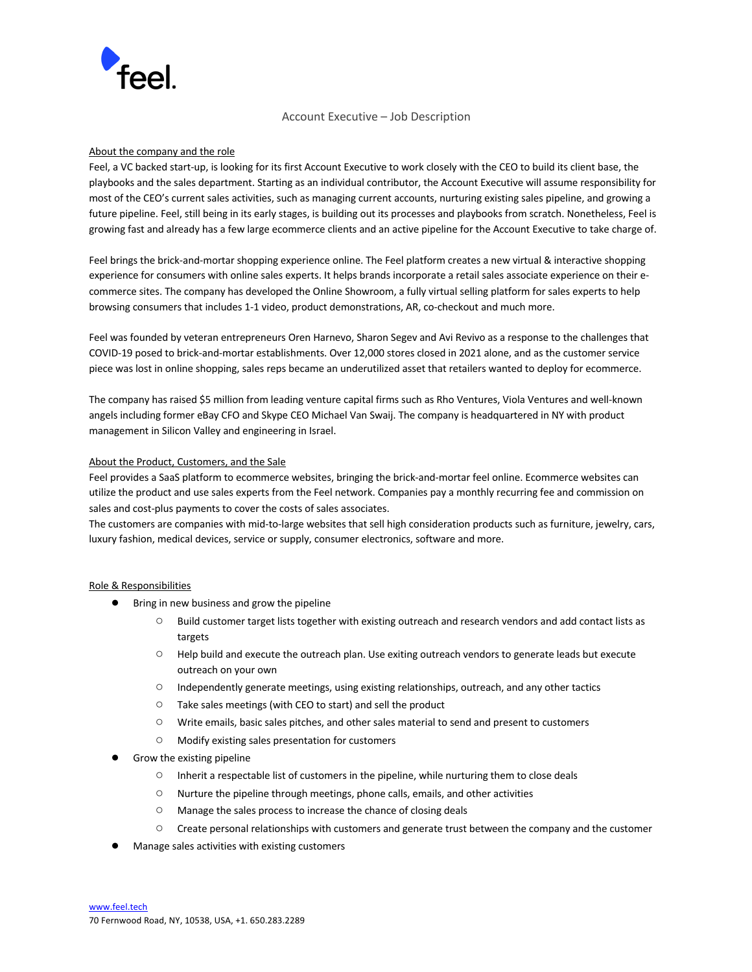

# Account Executive – Job Description

### About the company and the role

Feel, a VC backed start-up, is looking for its first Account Executive to work closely with the CEO to build its client base, the playbooks and the sales department. Starting as an individual contributor, the Account Executive will assume responsibility for most of the CEO's current sales activities, such as managing current accounts, nurturing existing sales pipeline, and growing a future pipeline. Feel, still being in its early stages, is building out its processes and playbooks from scratch. Nonetheless, Feel is growing fast and already has a few large ecommerce clients and an active pipeline for the Account Executive to take charge of.

Feel brings the brick-and-mortar shopping experience online. The Feel platform creates a new virtual & interactive shopping experience for consumers with online sales experts. It helps brands incorporate a retail sales associate experience on their ecommerce sites. The company has developed the Online Showroom, a fully virtual selling platform for sales experts to help browsing consumers that includes 1-1 video, product demonstrations, AR, co-checkout and much more.

Feel was founded by veteran entrepreneurs Oren Harnevo, Sharon Segev and Avi Revivo as a response to the challenges that COVID-19 posed to brick-and-mortar establishments. Over 12,000 stores closed in 2021 alone, and as the customer service piece was lost in online shopping, sales reps became an underutilized asset that retailers wanted to deploy for ecommerce.

The company has raised \$5 million from leading venture capital firms such as Rho Ventures, Viola Ventures and well-known angels including former eBay CFO and Skype CEO Michael Van Swaij. The company is headquartered in NY with product management in Silicon Valley and engineering in Israel.

# About the Product, Customers, and the Sale

Feel provides a SaaS platform to ecommerce websites, bringing the brick-and-mortar feel online. Ecommerce websites can utilize the product and use sales experts from the Feel network. Companies pay a monthly recurring fee and commission on sales and cost-plus payments to cover the costs of sales associates.

The customers are companies with mid-to-large websites that sell high consideration products such as furniture, jewelry, cars, luxury fashion, medical devices, service or supply, consumer electronics, software and more.

### Role & Responsibilities

- Bring in new business and grow the pipeline
	- Build customer target lists together with existing outreach and research vendors and add contact lists as targets
	- Help build and execute the outreach plan. Use exiting outreach vendors to generate leads but execute outreach on your own
	- Independently generate meetings, using existing relationships, outreach, and any other tactics
	- Take sales meetings (with CEO to start) and sell the product
	- Write emails, basic sales pitches, and other sales material to send and present to customers
	- Modify existing sales presentation for customers
- Grow the existing pipeline
	- Inherit a respectable list of customers in the pipeline, while nurturing them to close deals
	- Nurture the pipeline through meetings, phone calls, emails, and other activities
	- Manage the sales process to increase the chance of closing deals
	- Create personal relationships with customers and generate trust between the company and the customer
- Manage sales activities with existing customers